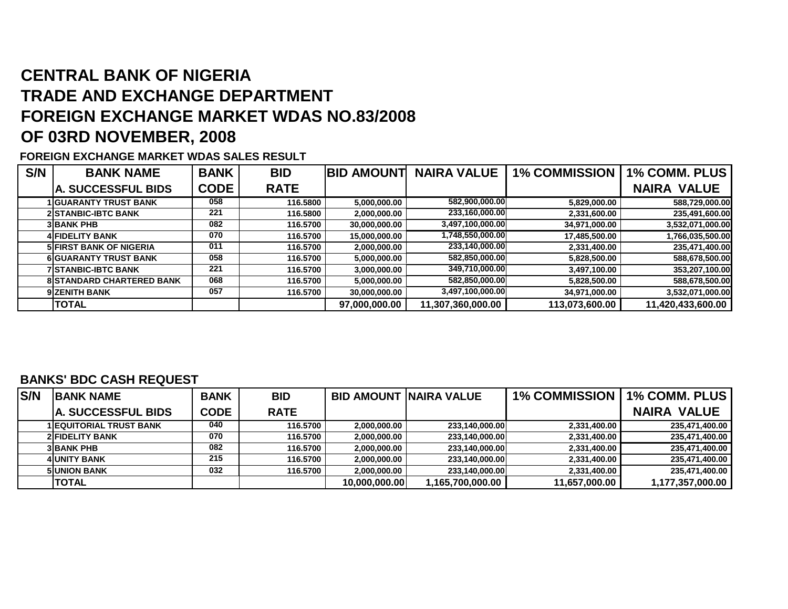# **CENTRAL BANK OF NIGERIA TRADE AND EXCHANGE DEPARTMENT FOREIGN EXCHANGE MARKET WDAS NO.83/2008OF 03RD NOVEMBER, 2008**

### **FOREIGN EXCHANGE MARKET WDAS SALES RESULT**

| S/N | <b>BANK NAME</b>                 | <b>BANK</b> | <b>BID</b>  | <b>BID AMOUNT</b> | <b>NAIRA VALUE</b> | <b>1% COMMISSION</b> | <b>1% COMM. PLUS</b> |
|-----|----------------------------------|-------------|-------------|-------------------|--------------------|----------------------|----------------------|
|     | <b>A. SUCCESSFUL BIDS</b>        | <b>CODE</b> | <b>RATE</b> |                   |                    |                      | <b>NAIRA VALUE</b>   |
|     | <b>GUARANTY TRUST BANK</b>       | 058         | 116.5800    | 5,000,000.00      | 582,900,000.00     | 5,829,000.00         | 588,729,000.00       |
|     | <b>2 STANBIC-IBTC BANK</b>       | 221         | 116.5800    | 2,000,000.00      | 233,160,000.00     | 2,331,600.00         | 235,491,600.00       |
|     | <b>3 BANK PHB</b>                | 082         | 116.5700    | 30.000.000.00     | 3,497,100,000.00   | 34,971,000.00        | 3,532,071,000.00     |
|     | <b>4 FIDELITY BANK</b>           | 070         | 116.5700    | 15,000,000.00     | 1,748,550,000.00   | 17,485,500.00        | 1,766,035,500.00     |
|     | <b>5 FIRST BANK OF NIGERIA</b>   | 011         | 116.5700    | 2,000,000.00      | 233,140,000.00     | 2,331,400.00         | 235,471,400.00       |
|     | <b>6 GUARANTY TRUST BANK</b>     | 058         | 116.5700    | 5,000,000.00      | 582,850,000.00     | 5,828,500.00         | 588,678,500.00       |
|     | <b>7 STANBIC-IBTC BANK</b>       | 221         | 116.5700    | 3,000,000.00      | 349,710,000.00     | 3,497,100.00         | 353,207,100.00       |
|     | <b>8 STANDARD CHARTERED BANK</b> | 068         | 116.5700    | 5,000,000.00      | 582,850,000.00     | 5,828,500.00         | 588,678,500.00       |
|     | <b>9 ZENITH BANK</b>             | 057         | 116.5700    | 30,000,000.00     | 3,497,100,000.00   | 34,971,000.00        | 3,532,071,000.00     |
|     | <b>TOTAL</b>                     |             |             | 97,000,000.00     | 11,307,360,000.00  | 113,073,600.00       | 11,420,433,600.00    |

#### **BANKS' BDC CASH REQUEST**

| <b>S/N</b> | <b>BANK NAME</b>               | <b>BANK</b> | <b>BID</b>  |               | <b>BID AMOUNT INAIRA VALUE</b> | <b>1% COMMISSION</b> | l 1% COMM. PLUS    |
|------------|--------------------------------|-------------|-------------|---------------|--------------------------------|----------------------|--------------------|
|            | <b>IA. SUCCESSFUL BIDS</b>     | <b>CODE</b> | <b>RATE</b> |               |                                |                      | <b>NAIRA VALUE</b> |
|            | <b>1 EQUITORIAL TRUST BANK</b> | 040         | 116.5700    | 2,000,000.00  | 233,140,000.00                 | 2,331,400.00         | 235,471,400.00     |
|            | <b>2 FIDELITY BANK</b>         | 070         | 116.5700    | 2,000,000.00  | 233,140,000.00                 | 2,331,400.00         | 235,471,400.00     |
|            | <b>3 BANK PHB</b>              | 082         | 116.5700    | 2,000,000.00  | 233,140,000.00                 | 2,331,400.00         | 235,471,400.00     |
|            | <b>4 UNITY BANK</b>            | 215         | 116.5700    | 2,000,000.00  | 233.140.000.00                 | 2.331.400.00         | 235,471,400.00     |
|            | <b>5 UNION BANK</b>            | 032         | 116.5700    | 2,000,000.00  | 233,140,000.00                 | 2,331,400.00         | 235,471,400.00     |
|            | <b>TOTAL</b>                   |             |             | 10,000,000.00 | 1,165,700,000.00               | 11,657,000.00        | 1,177,357,000.00   |